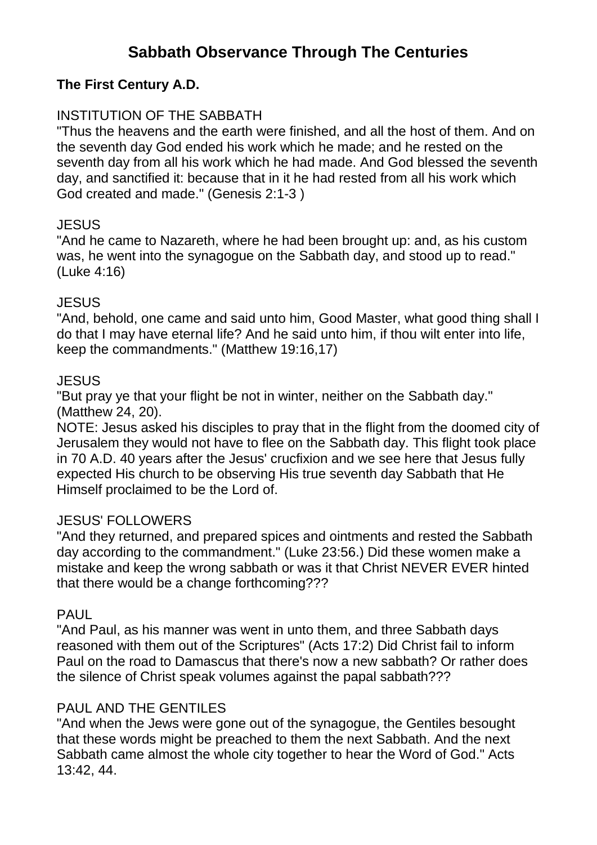# **Sabbath Observance Through The Centuries**

### **The First Century A.D.**

### INSTITUTION OF THE SABBATH

"Thus the heavens and the earth were finished, and all the host of them. And on the seventh day God ended his work which he made; and he rested on the seventh day from all his work which he had made. And God blessed the seventh day, and sanctified it: because that in it he had rested from all his work which God created and made." (Genesis 2:1-3 )

### **JESUS**

"And he came to Nazareth, where he had been brought up: and, as his custom was, he went into the synagogue on the Sabbath day, and stood up to read." (Luke 4:16)

### **JESUS**

"And, behold, one came and said unto him, Good Master, what good thing shall I do that I may have eternal life? And he said unto him, if thou wilt enter into life, keep the commandments." (Matthew 19:16,17)

#### **JESUS**

"But pray ye that your flight be not in winter, neither on the Sabbath day." (Matthew 24, 20).

NOTE: Jesus asked his disciples to pray that in the flight from the doomed city of Jerusalem they would not have to flee on the Sabbath day. This flight took place in 70 A.D. 40 years after the Jesus' crucfixion and we see here that Jesus fully expected His church to be observing His true seventh day Sabbath that He Himself proclaimed to be the Lord of.

### JESUS' FOLLOWERS

"And they returned, and prepared spices and ointments and rested the Sabbath day according to the commandment." (Luke 23:56.) Did these women make a mistake and keep the wrong sabbath or was it that Christ NEVER EVER hinted that there would be a change forthcoming???

### PAUL

"And Paul, as his manner was went in unto them, and three Sabbath days reasoned with them out of the Scriptures" (Acts 17:2) Did Christ fail to inform Paul on the road to Damascus that there's now a new sabbath? Or rather does the silence of Christ speak volumes against the papal sabbath???

### PAUL AND THE GENTILES

"And when the Jews were gone out of the synagogue, the Gentiles besought that these words might be preached to them the next Sabbath. And the next Sabbath came almost the whole city together to hear the Word of God." Acts 13:42, 44.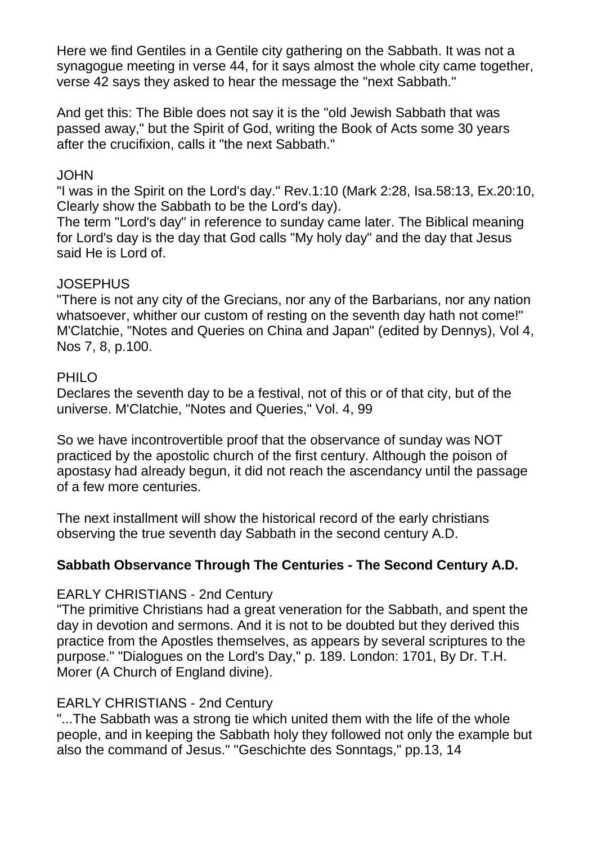Here we find Gentiles in a Gentile city gathering on the Sabbath. It was not a synagogue meeting in verse 44, for it says almost the whole city came together, verse 42 says they asked to hear the message the "next Sabbath."

And get this: The Bible does not say it is the "old Jewish Sabbath that was passed away," but the Spirit of God, writing the Book of Acts some 30 years after the crucifixion, calls it "the next Sabbath."

### **JOHN**

"I was in the Spirit on the Lord's day." Rev.1:10 (Mark 2:28, Isa.58:13, Ex.20:10, Clearly show the Sabbath to be the Lord's day).

The term "Lord's day" in reference to sunday came later. The Biblical meaning for Lord's day is the day that God calls "My holy day" and the day that Jesus said He is Lord of.

### JOSEPHUS

"There is not any city of the Grecians, nor any of the Barbarians, nor any nation whatsoever, whither our custom of resting on the seventh day hath not come!" M'Clatchie, "Notes and Queries on China and Japan" (edited by Dennys), Vol 4, Nos 7, 8, p.100.

### PHILO

Declares the seventh day to be a festival, not of this or of that city, but of the universe. M'Clatchie, "Notes and Queries," Vol. 4, 99

So we have incontrovertible proof that the observance of sunday was NOT practiced by the apostolic church of the first century. Although the poison of apostasy had already begun, it did not reach the ascendancy until the passage of a few more centuries.

The next installment will show the historical record of the early christians observing the true seventh day Sabbath in the second century A.D.

## **Sabbath Observance Through The Centuries - The Second Century A.D.**

### EARLY CHRISTIANS - 2nd Century

"The primitive Christians had a great veneration for the Sabbath, and spent the day in devotion and sermons. And it is not to be doubted but they derived this practice from the Apostles themselves, as appears by several scriptures to the purpose." "Dialogues on the Lord's Day," p. 189. London: 1701, By Dr. T.H. Morer (A Church of England divine).

### EARLY CHRISTIANS - 2nd Century

"...The Sabbath was a strong tie which united them with the life of the whole people, and in keeping the Sabbath holy they followed not only the example but also the command of Jesus." "Geschichte des Sonntags," pp.13, 14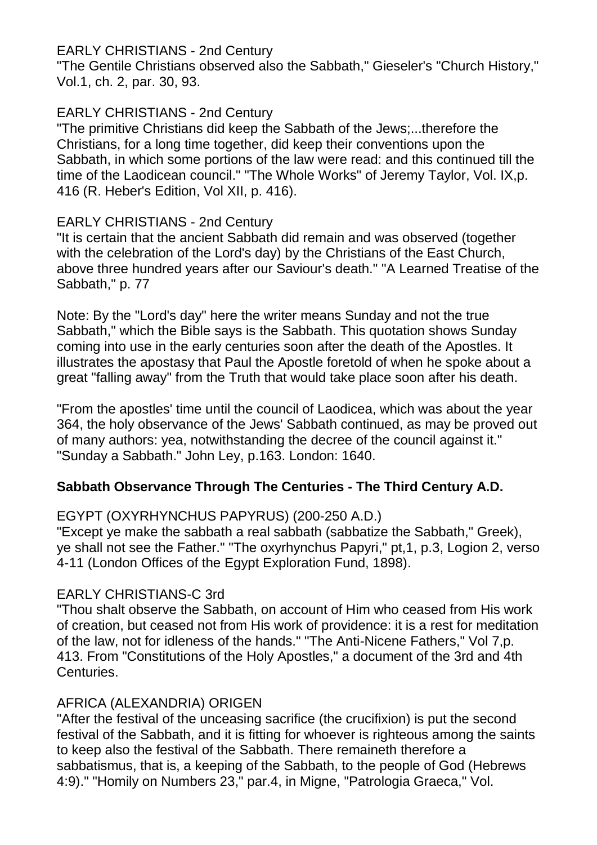### EARLY CHRISTIANS - 2nd Century

"The Gentile Christians observed also the Sabbath," Gieseler's "Church History," Vol.1, ch. 2, par. 30, 93.

## EARLY CHRISTIANS - 2nd Century

"The primitive Christians did keep the Sabbath of the Jews;...therefore the Christians, for a long time together, did keep their conventions upon the Sabbath, in which some portions of the law were read: and this continued till the time of the Laodicean council." "The Whole Works" of Jeremy Taylor, Vol. IX,p. 416 (R. Heber's Edition, Vol XII, p. 416).

## EARLY CHRISTIANS - 2nd Century

"It is certain that the ancient Sabbath did remain and was observed (together with the celebration of the Lord's day) by the Christians of the East Church, above three hundred years after our Saviour's death." "A Learned Treatise of the Sabbath," p. 77

Note: By the "Lord's day" here the writer means Sunday and not the true Sabbath," which the Bible says is the Sabbath. This quotation shows Sunday coming into use in the early centuries soon after the death of the Apostles. It illustrates the apostasy that Paul the Apostle foretold of when he spoke about a great "falling away" from the Truth that would take place soon after his death.

"From the apostles' time until the council of Laodicea, which was about the year 364, the holy observance of the Jews' Sabbath continued, as may be proved out of many authors: yea, notwithstanding the decree of the council against it." "Sunday a Sabbath." John Ley, p.163. London: 1640.

## **Sabbath Observance Through The Centuries - The Third Century A.D.**

EGYPT (OXYRHYNCHUS PAPYRUS) (200-250 A.D.)

"Except ye make the sabbath a real sabbath (sabbatize the Sabbath," Greek), ye shall not see the Father." "The oxyrhynchus Papyri," pt,1, p.3, Logion 2, verso 4-11 (London Offices of the Egypt Exploration Fund, 1898).

## EARLY CHRISTIANS-C 3rd

"Thou shalt observe the Sabbath, on account of Him who ceased from His work of creation, but ceased not from His work of providence: it is a rest for meditation of the law, not for idleness of the hands." "The Anti-Nicene Fathers," Vol 7,p. 413. From "Constitutions of the Holy Apostles," a document of the 3rd and 4th Centuries.

## AFRICA (ALEXANDRIA) ORIGEN

"After the festival of the unceasing sacrifice (the crucifixion) is put the second festival of the Sabbath, and it is fitting for whoever is righteous among the saints to keep also the festival of the Sabbath. There remaineth therefore a sabbatismus, that is, a keeping of the Sabbath, to the people of God (Hebrews 4:9)." "Homily on Numbers 23," par.4, in Migne, "Patrologia Graeca," Vol.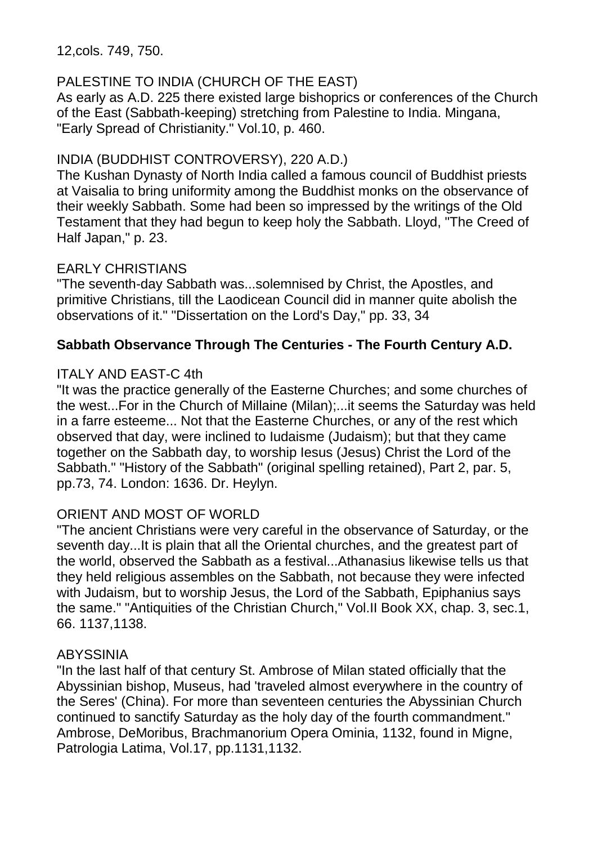12,cols. 749, 750.

## PALESTINE TO INDIA (CHURCH OF THE EAST)

As early as A.D. 225 there existed large bishoprics or conferences of the Church of the East (Sabbath-keeping) stretching from Palestine to India. Mingana, "Early Spread of Christianity." Vol.10, p. 460.

### INDIA (BUDDHIST CONTROVERSY), 220 A.D.)

The Kushan Dynasty of North India called a famous council of Buddhist priests at Vaisalia to bring uniformity among the Buddhist monks on the observance of their weekly Sabbath. Some had been so impressed by the writings of the Old Testament that they had begun to keep holy the Sabbath. Lloyd, "The Creed of Half Japan," p. 23.

### EARLY CHRISTIANS

"The seventh-day Sabbath was...solemnised by Christ, the Apostles, and primitive Christians, till the Laodicean Council did in manner quite abolish the observations of it." "Dissertation on the Lord's Day," pp. 33, 34

## **Sabbath Observance Through The Centuries - The Fourth Century A.D.**

### ITALY AND EAST-C 4th

"It was the practice generally of the Easterne Churches; and some churches of the west...For in the Church of Millaine (Milan);...it seems the Saturday was held in a farre esteeme... Not that the Easterne Churches, or any of the rest which observed that day, were inclined to Iudaisme (Judaism); but that they came together on the Sabbath day, to worship Iesus (Jesus) Christ the Lord of the Sabbath." "History of the Sabbath" (original spelling retained), Part 2, par. 5, pp.73, 74. London: 1636. Dr. Heylyn.

## ORIENT AND MOST OF WORLD

"The ancient Christians were very careful in the observance of Saturday, or the seventh day...It is plain that all the Oriental churches, and the greatest part of the world, observed the Sabbath as a festival...Athanasius likewise tells us that they held religious assembles on the Sabbath, not because they were infected with Judaism, but to worship Jesus, the Lord of the Sabbath, Epiphanius says the same." "Antiquities of the Christian Church," Vol.II Book XX, chap. 3, sec.1, 66. 1137,1138.

### ABYSSINIA

"In the last half of that century St. Ambrose of Milan stated officially that the Abyssinian bishop, Museus, had 'traveled almost everywhere in the country of the Seres' (China). For more than seventeen centuries the Abyssinian Church continued to sanctify Saturday as the holy day of the fourth commandment." Ambrose, DeMoribus, Brachmanorium Opera Ominia, 1132, found in Migne, Patrologia Latima, Vol.17, pp.1131,1132.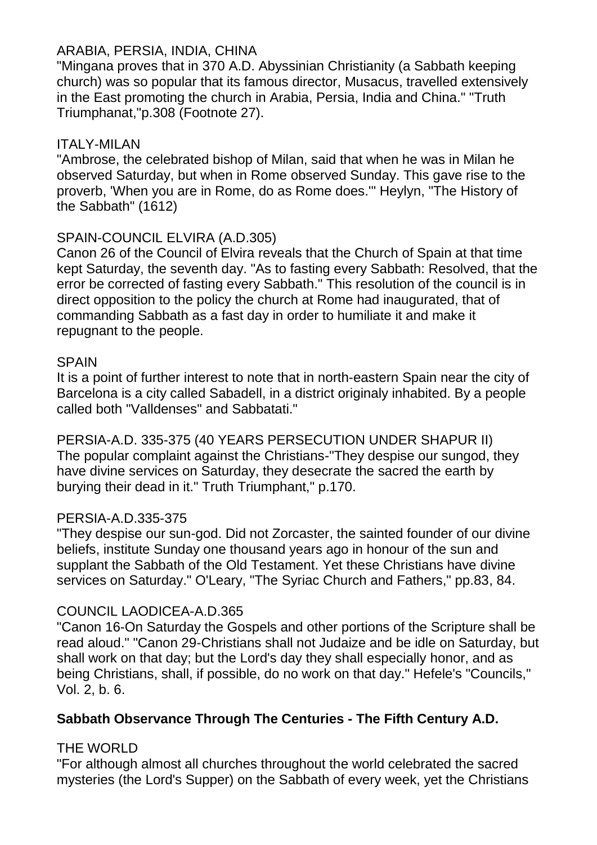### ARABIA, PERSIA, INDIA, CHINA

"Mingana proves that in 370 A.D. Abyssinian Christianity (a Sabbath keeping church) was so popular that its famous director, Musacus, travelled extensively in the East promoting the church in Arabia, Persia, India and China." "Truth Triumphanat,"p.308 (Footnote 27).

### ITALY-MILAN

"Ambrose, the celebrated bishop of Milan, said that when he was in Milan he observed Saturday, but when in Rome observed Sunday. This gave rise to the proverb, 'When you are in Rome, do as Rome does.'" Heylyn, "The History of the Sabbath" (1612)

### SPAIN-COUNCIL ELVIRA (A.D.305)

Canon 26 of the Council of Elvira reveals that the Church of Spain at that time kept Saturday, the seventh day. "As to fasting every Sabbath: Resolved, that the error be corrected of fasting every Sabbath." This resolution of the council is in direct opposition to the policy the church at Rome had inaugurated, that of commanding Sabbath as a fast day in order to humiliate it and make it repugnant to the people.

### SPAIN

It is a point of further interest to note that in north-eastern Spain near the city of Barcelona is a city called Sabadell, in a district originaly inhabited. By a people called both "Valldenses" and Sabbatati."

PERSIA-A.D. 335-375 (40 YEARS PERSECUTION UNDER SHAPUR II) The popular complaint against the Christians-"They despise our sungod, they have divine services on Saturday, they desecrate the sacred the earth by burying their dead in it." Truth Triumphant," p.170.

### PERSIA-A.D.335-375

"They despise our sun-god. Did not Zorcaster, the sainted founder of our divine beliefs, institute Sunday one thousand years ago in honour of the sun and supplant the Sabbath of the Old Testament. Yet these Christians have divine services on Saturday." O'Leary, "The Syriac Church and Fathers," pp.83, 84.

## COUNCIL LAODICEA-A.D.365

"Canon 16-On Saturday the Gospels and other portions of the Scripture shall be read aloud." "Canon 29-Christians shall not Judaize and be idle on Saturday, but shall work on that day; but the Lord's day they shall especially honor, and as being Christians, shall, if possible, do no work on that day." Hefele's "Councils," Vol. 2, b. 6.

## **Sabbath Observance Through The Centuries - The Fifth Century A.D.**

## THE WORLD

"For although almost all churches throughout the world celebrated the sacred mysteries (the Lord's Supper) on the Sabbath of every week, yet the Christians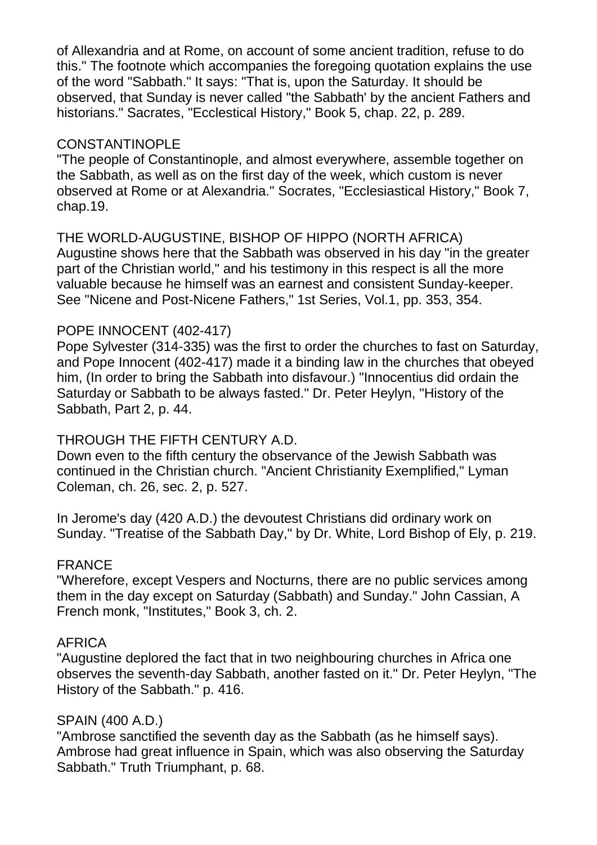of Allexandria and at Rome, on account of some ancient tradition, refuse to do this." The footnote which accompanies the foregoing quotation explains the use of the word "Sabbath." It says: "That is, upon the Saturday. It should be observed, that Sunday is never called "the Sabbath' by the ancient Fathers and historians." Sacrates, "Ecclestical History," Book 5, chap. 22, p. 289.

#### CONSTANTINOPLE

"The people of Constantinople, and almost everywhere, assemble together on the Sabbath, as well as on the first day of the week, which custom is never observed at Rome or at Alexandria." Socrates, "Ecclesiastical History," Book 7, chap.19.

### THE WORLD-AUGUSTINE, BISHOP OF HIPPO (NORTH AFRICA)

Augustine shows here that the Sabbath was observed in his day "in the greater part of the Christian world," and his testimony in this respect is all the more valuable because he himself was an earnest and consistent Sunday-keeper. See "Nicene and Post-Nicene Fathers," 1st Series, Vol.1, pp. 353, 354.

#### POPE INNOCENT (402-417)

Pope Sylvester (314-335) was the first to order the churches to fast on Saturday, and Pope Innocent (402-417) made it a binding law in the churches that obeyed him, (In order to bring the Sabbath into disfavour.) "Innocentius did ordain the Saturday or Sabbath to be always fasted." Dr. Peter Heylyn, "History of the Sabbath, Part 2, p. 44.

### THROUGH THE FIFTH CENTURY A.D.

Down even to the fifth century the observance of the Jewish Sabbath was continued in the Christian church. "Ancient Christianity Exemplified," Lyman Coleman, ch. 26, sec. 2, p. 527.

In Jerome's day (420 A.D.) the devoutest Christians did ordinary work on Sunday. "Treatise of the Sabbath Day," by Dr. White, Lord Bishop of Ely, p. 219.

### FRANCE

"Wherefore, except Vespers and Nocturns, there are no public services among them in the day except on Saturday (Sabbath) and Sunday." John Cassian, A French monk, "Institutes," Book 3, ch. 2.

### AFRICA

"Augustine deplored the fact that in two neighbouring churches in Africa one observes the seventh-day Sabbath, another fasted on it." Dr. Peter Heylyn, "The History of the Sabbath." p. 416.

### SPAIN (400 A.D.)

"Ambrose sanctified the seventh day as the Sabbath (as he himself says). Ambrose had great influence in Spain, which was also observing the Saturday Sabbath." Truth Triumphant, p. 68.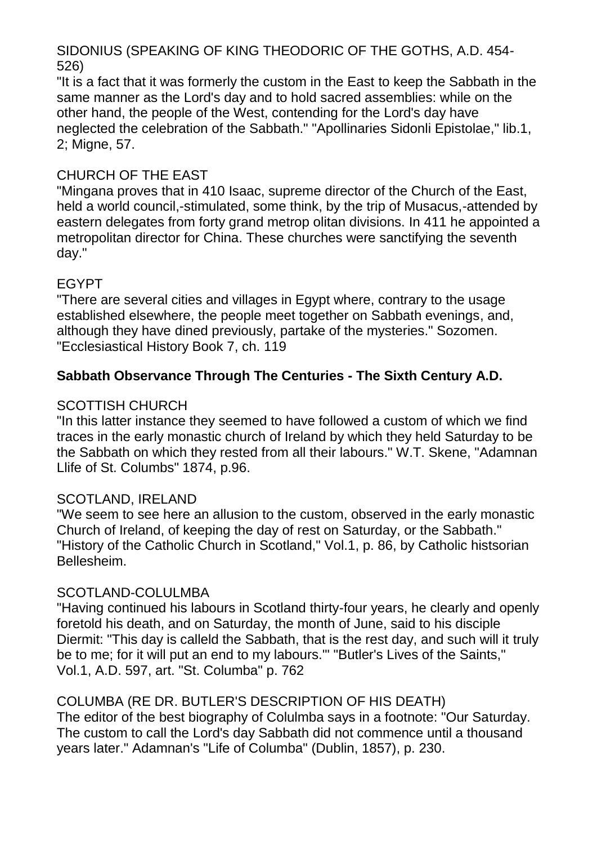SIDONIUS (SPEAKING OF KING THEODORIC OF THE GOTHS, A.D. 454- 526)

"It is a fact that it was formerly the custom in the East to keep the Sabbath in the same manner as the Lord's day and to hold sacred assemblies: while on the other hand, the people of the West, contending for the Lord's day have neglected the celebration of the Sabbath." "Apollinaries Sidonli Epistolae," lib.1, 2; Migne, 57.

### CHURCH OF THE EAST

"Mingana proves that in 410 Isaac, supreme director of the Church of the East, held a world council,-stimulated, some think, by the trip of Musacus,-attended by eastern delegates from forty grand metrop olitan divisions. In 411 he appointed a metropolitan director for China. These churches were sanctifying the seventh day."

### EGYPT

"There are several cities and villages in Egypt where, contrary to the usage established elsewhere, the people meet together on Sabbath evenings, and, although they have dined previously, partake of the mysteries." Sozomen. "Ecclesiastical History Book 7, ch. 119

### **Sabbath Observance Through The Centuries - The Sixth Century A.D.**

### SCOTTISH CHURCH

"In this latter instance they seemed to have followed a custom of which we find traces in the early monastic church of Ireland by which they held Saturday to be the Sabbath on which they rested from all their labours." W.T. Skene, "Adamnan Llife of St. Columbs" 1874, p.96.

### SCOTLAND, IRELAND

"We seem to see here an allusion to the custom, observed in the early monastic Church of Ireland, of keeping the day of rest on Saturday, or the Sabbath." "History of the Catholic Church in Scotland," Vol.1, p. 86, by Catholic histsorian Bellesheim.

### SCOTLAND-COLULMBA

"Having continued his labours in Scotland thirty-four years, he clearly and openly foretold his death, and on Saturday, the month of June, said to his disciple Diermit: "This day is calleld the Sabbath, that is the rest day, and such will it truly be to me; for it will put an end to my labours.'" "Butler's Lives of the Saints," Vol.1, A.D. 597, art. "St. Columba" p. 762

### COLUMBA (RE DR. BUTLER'S DESCRIPTION OF HIS DEATH)

The editor of the best biography of Colulmba says in a footnote: "Our Saturday. The custom to call the Lord's day Sabbath did not commence until a thousand years later." Adamnan's "Life of Columba" (Dublin, 1857), p. 230.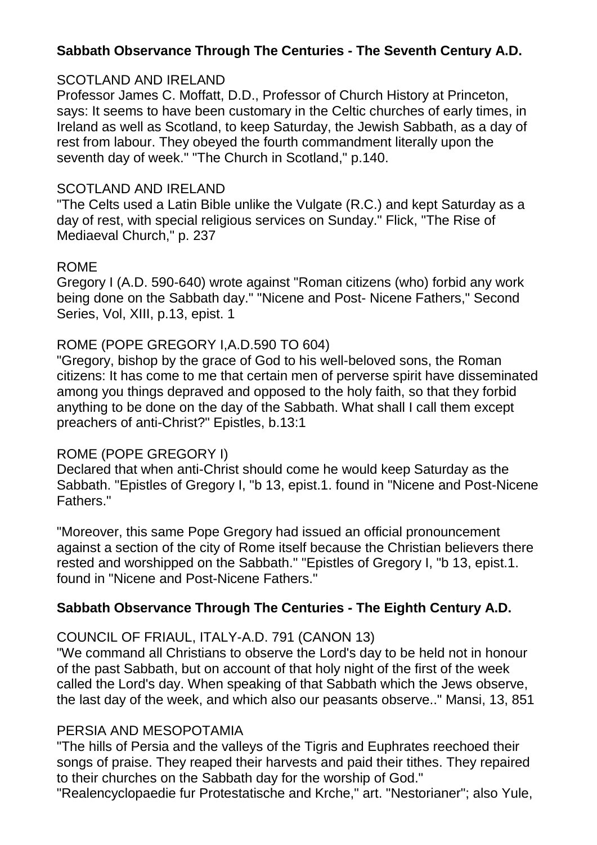## **Sabbath Observance Through The Centuries - The Seventh Century A.D.**

### SCOTLAND AND IRELAND

Professor James C. Moffatt, D.D., Professor of Church History at Princeton, says: It seems to have been customary in the Celtic churches of early times, in Ireland as well as Scotland, to keep Saturday, the Jewish Sabbath, as a day of rest from labour. They obeyed the fourth commandment literally upon the seventh day of week." "The Church in Scotland," p.140.

### SCOTLAND AND IRELAND

"The Celts used a Latin Bible unlike the Vulgate (R.C.) and kept Saturday as a day of rest, with special religious services on Sunday." Flick, "The Rise of Mediaeval Church," p. 237

### ROME

Gregory I (A.D. 590-640) wrote against "Roman citizens (who) forbid any work being done on the Sabbath day." "Nicene and Post- Nicene Fathers," Second Series, Vol, XIII, p.13, epist. 1

### ROME (POPE GREGORY I,A.D.590 TO 604)

"Gregory, bishop by the grace of God to his well-beloved sons, the Roman citizens: It has come to me that certain men of perverse spirit have disseminated among you things depraved and opposed to the holy faith, so that they forbid anything to be done on the day of the Sabbath. What shall I call them except preachers of anti-Christ?" Epistles, b.13:1

### ROME (POPE GREGORY I)

Declared that when anti-Christ should come he would keep Saturday as the Sabbath. "Epistles of Gregory I, "b 13, epist.1. found in "Nicene and Post-Nicene Fathers."

"Moreover, this same Pope Gregory had issued an official pronouncement against a section of the city of Rome itself because the Christian believers there rested and worshipped on the Sabbath." "Epistles of Gregory I, "b 13, epist.1. found in "Nicene and Post-Nicene Fathers."

## **Sabbath Observance Through The Centuries - The Eighth Century A.D.**

COUNCIL OF FRIAUL, ITALY-A.D. 791 (CANON 13)

"We command all Christians to observe the Lord's day to be held not in honour of the past Sabbath, but on account of that holy night of the first of the week called the Lord's day. When speaking of that Sabbath which the Jews observe, the last day of the week, and which also our peasants observe.." Mansi, 13, 851

## PERSIA AND MESOPOTAMIA

"The hills of Persia and the valleys of the Tigris and Euphrates reechoed their songs of praise. They reaped their harvests and paid their tithes. They repaired to their churches on the Sabbath day for the worship of God."

"Realencyclopaedie fur Protestatische and Krche," art. "Nestorianer"; also Yule,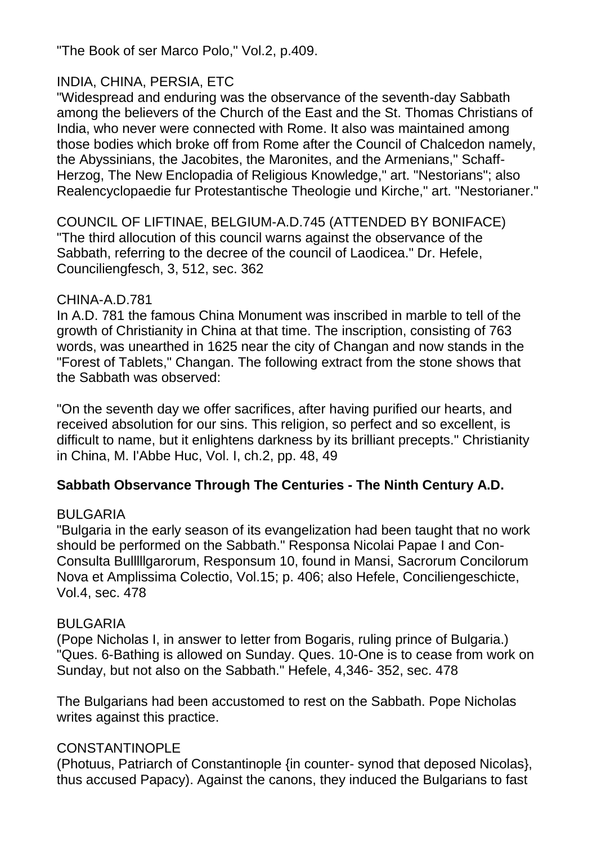"The Book of ser Marco Polo," Vol.2, p.409.

## INDIA, CHINA, PERSIA, ETC

"Widespread and enduring was the observance of the seventh-day Sabbath among the believers of the Church of the East and the St. Thomas Christians of India, who never were connected with Rome. It also was maintained among those bodies which broke off from Rome after the Council of Chalcedon namely, the Abyssinians, the Jacobites, the Maronites, and the Armenians," Schaff-Herzog, The New Enclopadia of Religious Knowledge," art. "Nestorians"; also Realencyclopaedie fur Protestantische Theologie und Kirche," art. "Nestorianer."

COUNCIL OF LIFTINAE, BELGIUM-A.D.745 (ATTENDED BY BONIFACE) "The third allocution of this council warns against the observance of the Sabbath, referring to the decree of the council of Laodicea." Dr. Hefele, Counciliengfesch, 3, 512, sec. 362

### CHINA-A.D.781

In A.D. 781 the famous China Monument was inscribed in marble to tell of the growth of Christianity in China at that time. The inscription, consisting of 763 words, was unearthed in 1625 near the city of Changan and now stands in the "Forest of Tablets," Changan. The following extract from the stone shows that the Sabbath was observed:

"On the seventh day we offer sacrifices, after having purified our hearts, and received absolution for our sins. This religion, so perfect and so excellent, is difficult to name, but it enlightens darkness by its brilliant precepts." Christianity in China, M. I'Abbe Huc, Vol. I, ch.2, pp. 48, 49

## **Sabbath Observance Through The Centuries - The Ninth Century A.D.**

### BULGARIA

"Bulgaria in the early season of its evangelization had been taught that no work should be performed on the Sabbath." Responsa Nicolai Papae I and Con-Consulta Bulllllgarorum, Responsum 10, found in Mansi, Sacrorum Concilorum Nova et Amplissima Colectio, Vol.15; p. 406; also Hefele, Conciliengeschicte, Vol.4, sec. 478

### BULGARIA

(Pope Nicholas I, in answer to letter from Bogaris, ruling prince of Bulgaria.) "Ques. 6-Bathing is allowed on Sunday. Ques. 10-One is to cease from work on Sunday, but not also on the Sabbath." Hefele, 4,346- 352, sec. 478

The Bulgarians had been accustomed to rest on the Sabbath. Pope Nicholas writes against this practice.

### CONSTANTINOPLE

(Photuus, Patriarch of Constantinople {in counter- synod that deposed Nicolas}, thus accused Papacy). Against the canons, they induced the Bulgarians to fast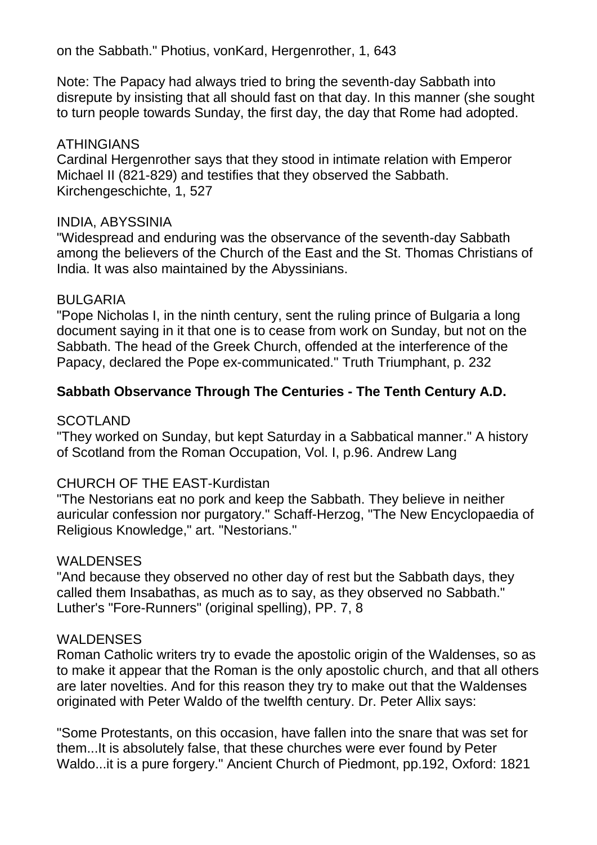on the Sabbath." Photius, vonKard, Hergenrother, 1, 643

Note: The Papacy had always tried to bring the seventh-day Sabbath into disrepute by insisting that all should fast on that day. In this manner (she sought to turn people towards Sunday, the first day, the day that Rome had adopted.

#### ATHINGIANS

Cardinal Hergenrother says that they stood in intimate relation with Emperor Michael II (821-829) and testifies that they observed the Sabbath. Kirchengeschichte, 1, 527

#### INDIA, ABYSSINIA

"Widespread and enduring was the observance of the seventh-day Sabbath among the believers of the Church of the East and the St. Thomas Christians of India. It was also maintained by the Abyssinians.

### BULGARIA

"Pope Nicholas I, in the ninth century, sent the ruling prince of Bulgaria a long document saying in it that one is to cease from work on Sunday, but not on the Sabbath. The head of the Greek Church, offended at the interference of the Papacy, declared the Pope ex-communicated." Truth Triumphant, p. 232

### **Sabbath Observance Through The Centuries - The Tenth Century A.D.**

### **SCOTLAND**

"They worked on Sunday, but kept Saturday in a Sabbatical manner." A history of Scotland from the Roman Occupation, Vol. I, p.96. Andrew Lang

### CHURCH OF THE EAST-Kurdistan

"The Nestorians eat no pork and keep the Sabbath. They believe in neither auricular confession nor purgatory." Schaff-Herzog, "The New Encyclopaedia of Religious Knowledge," art. "Nestorians."

### WALDENSES

"And because they observed no other day of rest but the Sabbath days, they called them Insabathas, as much as to say, as they observed no Sabbath." Luther's "Fore-Runners" (original spelling), PP. 7, 8

#### WALDENSES

Roman Catholic writers try to evade the apostolic origin of the Waldenses, so as to make it appear that the Roman is the only apostolic church, and that all others are later novelties. And for this reason they try to make out that the Waldenses originated with Peter Waldo of the twelfth century. Dr. Peter Allix says:

"Some Protestants, on this occasion, have fallen into the snare that was set for them...It is absolutely false, that these churches were ever found by Peter Waldo...it is a pure forgery." Ancient Church of Piedmont, pp.192, Oxford: 1821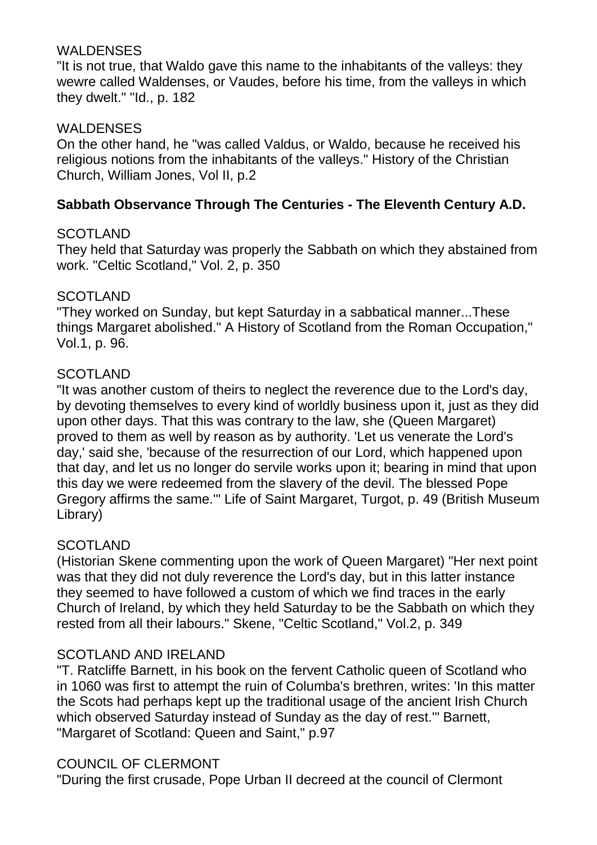### **WALDENSES**

"It is not true, that Waldo gave this name to the inhabitants of the valleys: they wewre called Waldenses, or Vaudes, before his time, from the valleys in which they dwelt." "Id., p. 182

### **WALDENSES**

On the other hand, he "was called Valdus, or Waldo, because he received his religious notions from the inhabitants of the valleys." History of the Christian Church, William Jones, Vol II, p.2

### **Sabbath Observance Through The Centuries - The Eleventh Century A.D.**

### **SCOTLAND**

They held that Saturday was properly the Sabbath on which they abstained from work. "Celtic Scotland," Vol. 2, p. 350

### **SCOTLAND**

"They worked on Sunday, but kept Saturday in a sabbatical manner...These things Margaret abolished." A History of Scotland from the Roman Occupation," Vol.1, p. 96.

### SCOTLAND

"It was another custom of theirs to neglect the reverence due to the Lord's day, by devoting themselves to every kind of worldly business upon it, just as they did upon other days. That this was contrary to the law, she (Queen Margaret) proved to them as well by reason as by authority. 'Let us venerate the Lord's day,' said she, 'because of the resurrection of our Lord, which happened upon that day, and let us no longer do servile works upon it; bearing in mind that upon this day we were redeemed from the slavery of the devil. The blessed Pope Gregory affirms the same.'" Life of Saint Margaret, Turgot, p. 49 (British Museum Library)

### **SCOTLAND**

(Historian Skene commenting upon the work of Queen Margaret) "Her next point was that they did not duly reverence the Lord's day, but in this latter instance they seemed to have followed a custom of which we find traces in the early Church of Ireland, by which they held Saturday to be the Sabbath on which they rested from all their labours." Skene, "Celtic Scotland," Vol.2, p. 349

### SCOTLAND AND IRELAND

"T. Ratcliffe Barnett, in his book on the fervent Catholic queen of Scotland who in 1060 was first to attempt the ruin of Columba's brethren, writes: 'In this matter the Scots had perhaps kept up the traditional usage of the ancient Irish Church which observed Saturday instead of Sunday as the day of rest.'" Barnett, "Margaret of Scotland: Queen and Saint," p.97

### COUNCIL OF CLERMONT

"During the first crusade, Pope Urban II decreed at the council of Clermont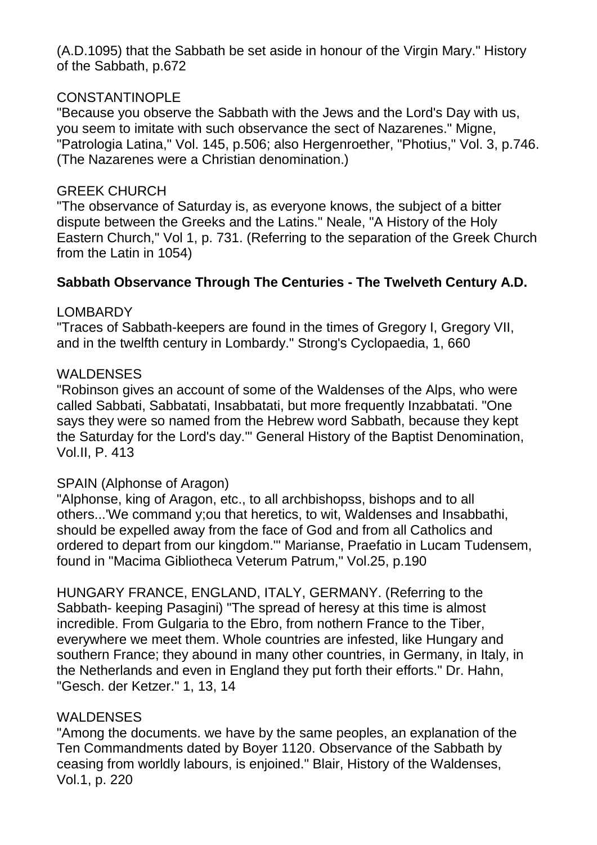(A.D.1095) that the Sabbath be set aside in honour of the Virgin Mary." History of the Sabbath, p.672

### CONSTANTINOPLE

"Because you observe the Sabbath with the Jews and the Lord's Day with us, you seem to imitate with such observance the sect of Nazarenes." Migne, "Patrologia Latina," Vol. 145, p.506; also Hergenroether, "Photius," Vol. 3, p.746. (The Nazarenes were a Christian denomination.)

#### GREEK CHURCH

"The observance of Saturday is, as everyone knows, the subject of a bitter dispute between the Greeks and the Latins." Neale, "A History of the Holy Eastern Church," Vol 1, p. 731. (Referring to the separation of the Greek Church from the Latin in 1054)

### **Sabbath Observance Through The Centuries - The Twelveth Century A.D.**

### LOMBARDY

"Traces of Sabbath-keepers are found in the times of Gregory I, Gregory VII, and in the twelfth century in Lombardy." Strong's Cyclopaedia, 1, 660

### WALDENSES

"Robinson gives an account of some of the Waldenses of the Alps, who were called Sabbati, Sabbatati, Insabbatati, but more frequently Inzabbatati. "One says they were so named from the Hebrew word Sabbath, because they kept the Saturday for the Lord's day.'" General History of the Baptist Denomination, Vol.II, P. 413

### SPAIN (Alphonse of Aragon)

"Alphonse, king of Aragon, etc., to all archbishopss, bishops and to all others...'We command y;ou that heretics, to wit, Waldenses and Insabbathi, should be expelled away from the face of God and from all Catholics and ordered to depart from our kingdom.'" Marianse, Praefatio in Lucam Tudensem, found in "Macima Gibliotheca Veterum Patrum," Vol.25, p.190

HUNGARY FRANCE, ENGLAND, ITALY, GERMANY. (Referring to the Sabbath- keeping Pasagini) "The spread of heresy at this time is almost incredible. From Gulgaria to the Ebro, from nothern France to the Tiber, everywhere we meet them. Whole countries are infested, like Hungary and southern France; they abound in many other countries, in Germany, in Italy, in the Netherlands and even in England they put forth their efforts." Dr. Hahn, "Gesch. der Ketzer." 1, 13, 14

## WALDENSES

"Among the documents. we have by the same peoples, an explanation of the Ten Commandments dated by Boyer 1120. Observance of the Sabbath by ceasing from worldly labours, is enjoined." Blair, History of the Waldenses, Vol.1, p. 220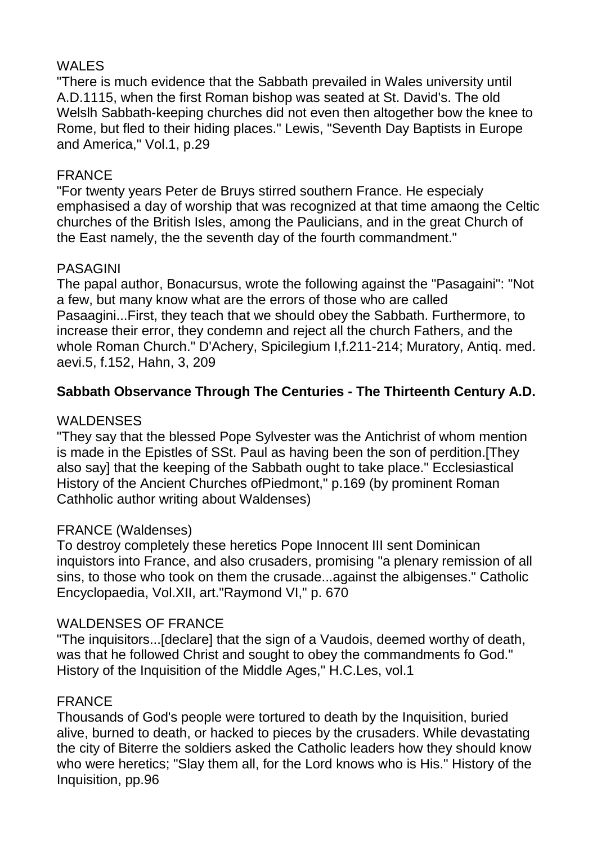## WALES

"There is much evidence that the Sabbath prevailed in Wales university until A.D.1115, when the first Roman bishop was seated at St. David's. The old Welslh Sabbath-keeping churches did not even then altogether bow the knee to Rome, but fled to their hiding places." Lewis, "Seventh Day Baptists in Europe and America," Vol.1, p.29

## FRANCE

"For twenty years Peter de Bruys stirred southern France. He especialy emphasised a day of worship that was recognized at that time amaong the Celtic churches of the British Isles, among the Paulicians, and in the great Church of the East namely, the the seventh day of the fourth commandment."

## PASAGINI

The papal author, Bonacursus, wrote the following against the "Pasagaini": "Not a few, but many know what are the errors of those who are called Pasaagini...First, they teach that we should obey the Sabbath. Furthermore, to increase their error, they condemn and reject all the church Fathers, and the whole Roman Church." D'Achery, Spicilegium I,f.211-214; Muratory, Antiq. med. aevi.5, f.152, Hahn, 3, 209

## **Sabbath Observance Through The Centuries - The Thirteenth Century A.D.**

## **WALDENSES**

"They say that the blessed Pope Sylvester was the Antichrist of whom mention is made in the Epistles of SSt. Paul as having been the son of perdition.[They also say] that the keeping of the Sabbath ought to take place." Ecclesiastical History of the Ancient Churches ofPiedmont," p.169 (by prominent Roman Cathholic author writing about Waldenses)

### FRANCE (Waldenses)

To destroy completely these heretics Pope Innocent III sent Dominican inquistors into France, and also crusaders, promising "a plenary remission of all sins, to those who took on them the crusade...against the albigenses." Catholic Encyclopaedia, Vol.XII, art."Raymond VI," p. 670

## WALDENSES OF FRANCE

"The inquisitors...[declare] that the sign of a Vaudois, deemed worthy of death, was that he followed Christ and sought to obey the commandments fo God." History of the Inquisition of the Middle Ages," H.C.Les, vol.1

### FRANCE

Thousands of God's people were tortured to death by the Inquisition, buried alive, burned to death, or hacked to pieces by the crusaders. While devastating the city of Biterre the soldiers asked the Catholic leaders how they should know who were heretics; "Slay them all, for the Lord knows who is His." History of the Inquisition, pp.96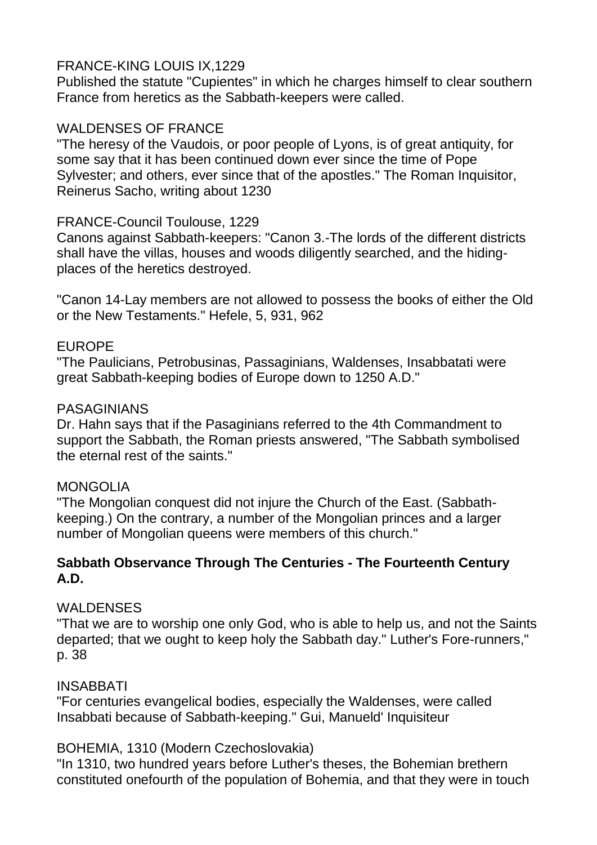### FRANCE-KING LOUIS IX,1229

Published the statute "Cupientes" in which he charges himself to clear southern France from heretics as the Sabbath-keepers were called.

### WALDENSES OF FRANCE

"The heresy of the Vaudois, or poor people of Lyons, is of great antiquity, for some say that it has been continued down ever since the time of Pope Sylvester; and others, ever since that of the apostles." The Roman Inquisitor, Reinerus Sacho, writing about 1230

### FRANCE-Council Toulouse, 1229

Canons against Sabbath-keepers: "Canon 3.-The lords of the different districts shall have the villas, houses and woods diligently searched, and the hidingplaces of the heretics destroyed.

"Canon 14-Lay members are not allowed to possess the books of either the Old or the New Testaments." Hefele, 5, 931, 962

### EUROPE

"The Paulicians, Petrobusinas, Passaginians, Waldenses, Insabbatati were great Sabbath-keeping bodies of Europe down to 1250 A.D."

### PASAGINIANS

Dr. Hahn says that if the Pasaginians referred to the 4th Commandment to support the Sabbath, the Roman priests answered, "The Sabbath symbolised the eternal rest of the saints."

### **MONGOLIA**

"The Mongolian conquest did not injure the Church of the East. (Sabbathkeeping.) On the contrary, a number of the Mongolian princes and a larger number of Mongolian queens were members of this church."

### **Sabbath Observance Through The Centuries - The Fourteenth Century A.D.**

## **WALDENSES**

"That we are to worship one only God, who is able to help us, and not the Saints departed; that we ought to keep holy the Sabbath day." Luther's Fore-runners," p. 38

## INSABBATI

"For centuries evangelical bodies, especially the Waldenses, were called Insabbati because of Sabbath-keeping." Gui, Manueld' Inquisiteur

### BOHEMIA, 1310 (Modern Czechoslovakia)

"In 1310, two hundred years before Luther's theses, the Bohemian brethern constituted onefourth of the population of Bohemia, and that they were in touch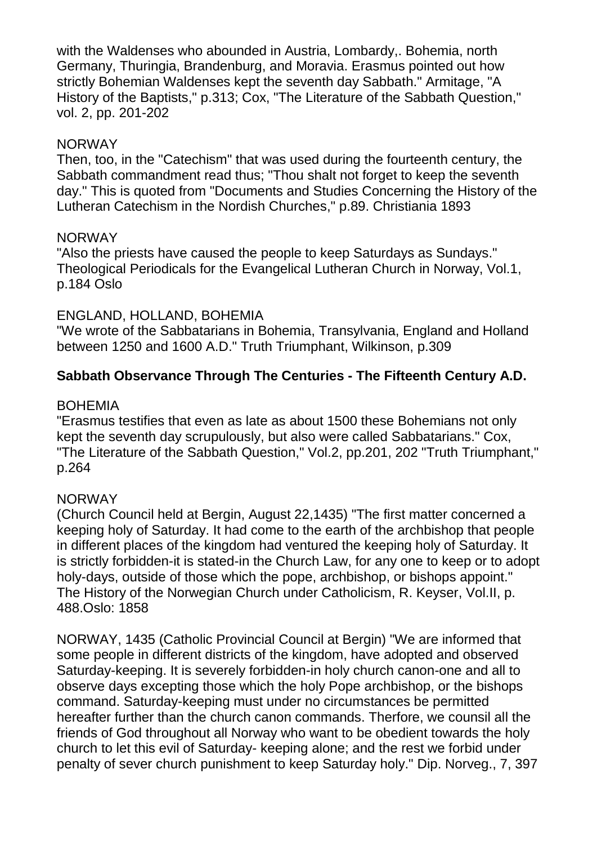with the Waldenses who abounded in Austria, Lombardy,. Bohemia, north Germany, Thuringia, Brandenburg, and Moravia. Erasmus pointed out how strictly Bohemian Waldenses kept the seventh day Sabbath." Armitage, "A History of the Baptists," p.313; Cox, "The Literature of the Sabbath Question," vol. 2, pp. 201-202

#### NORWAY

Then, too, in the "Catechism" that was used during the fourteenth century, the Sabbath commandment read thus; "Thou shalt not forget to keep the seventh day." This is quoted from "Documents and Studies Concerning the History of the Lutheran Catechism in the Nordish Churches," p.89. Christiania 1893

#### NORWAY

"Also the priests have caused the people to keep Saturdays as Sundays." Theological Periodicals for the Evangelical Lutheran Church in Norway, Vol.1, p.184 Oslo

### ENGLAND, HOLLAND, BOHEMIA

"We wrote of the Sabbatarians in Bohemia, Transylvania, England and Holland between 1250 and 1600 A.D." Truth Triumphant, Wilkinson, p.309

### **Sabbath Observance Through The Centuries - The Fifteenth Century A.D.**

#### BOHEMIA

"Erasmus testifies that even as late as about 1500 these Bohemians not only kept the seventh day scrupulously, but also were called Sabbatarians." Cox, "The Literature of the Sabbath Question," Vol.2, pp.201, 202 "Truth Triumphant," p.264

### NORWAY

(Church Council held at Bergin, August 22,1435) "The first matter concerned a keeping holy of Saturday. It had come to the earth of the archbishop that people in different places of the kingdom had ventured the keeping holy of Saturday. It is strictly forbidden-it is stated-in the Church Law, for any one to keep or to adopt holy-days, outside of those which the pope, archbishop, or bishops appoint." The History of the Norwegian Church under Catholicism, R. Keyser, Vol.II, p. 488.Oslo: 1858

NORWAY, 1435 (Catholic Provincial Council at Bergin) "We are informed that some people in different districts of the kingdom, have adopted and observed Saturday-keeping. It is severely forbidden-in holy church canon-one and all to observe days excepting those which the holy Pope archbishop, or the bishops command. Saturday-keeping must under no circumstances be permitted hereafter further than the church canon commands. Therfore, we counsil all the friends of God throughout all Norway who want to be obedient towards the holy church to let this evil of Saturday- keeping alone; and the rest we forbid under penalty of sever church punishment to keep Saturday holy." Dip. Norveg., 7, 397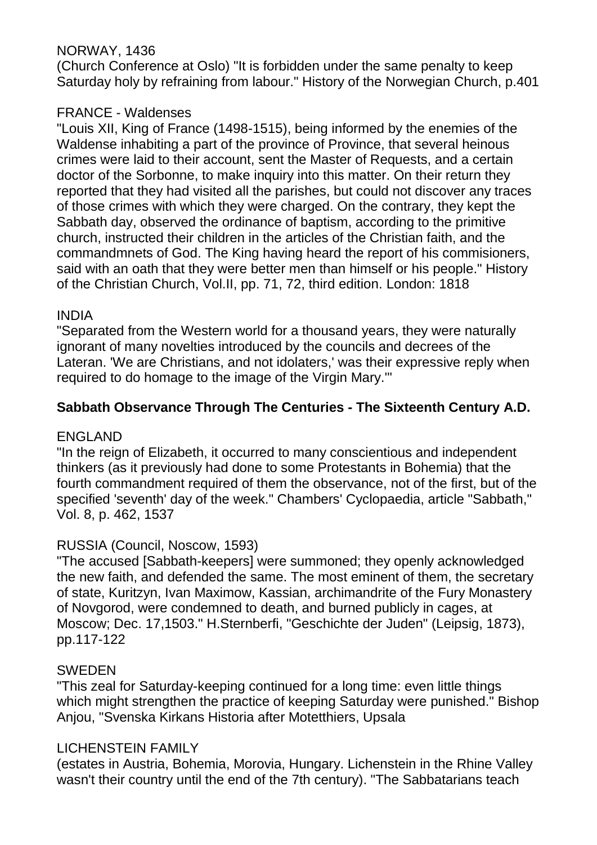### NORWAY, 1436

(Church Conference at Oslo) "It is forbidden under the same penalty to keep Saturday holy by refraining from labour." History of the Norwegian Church, p.401

### FRANCE - Waldenses

"Louis XII, King of France (1498-1515), being informed by the enemies of the Waldense inhabiting a part of the province of Province, that several heinous crimes were laid to their account, sent the Master of Requests, and a certain doctor of the Sorbonne, to make inquiry into this matter. On their return they reported that they had visited all the parishes, but could not discover any traces of those crimes with which they were charged. On the contrary, they kept the Sabbath day, observed the ordinance of baptism, according to the primitive church, instructed their children in the articles of the Christian faith, and the commandmnets of God. The King having heard the report of his commisioners, said with an oath that they were better men than himself or his people." History of the Christian Church, Vol.II, pp. 71, 72, third edition. London: 1818

### INDIA

"Separated from the Western world for a thousand years, they were naturally ignorant of many novelties introduced by the councils and decrees of the Lateran. 'We are Christians, and not idolaters,' was their expressive reply when required to do homage to the image of the Virgin Mary.'"

## **Sabbath Observance Through The Centuries - The Sixteenth Century A.D.**

### ENGLAND

"In the reign of Elizabeth, it occurred to many conscientious and independent thinkers (as it previously had done to some Protestants in Bohemia) that the fourth commandment required of them the observance, not of the first, but of the specified 'seventh' day of the week." Chambers' Cyclopaedia, article "Sabbath," Vol. 8, p. 462, 1537

## RUSSIA (Council, Noscow, 1593)

"The accused [Sabbath-keepers] were summoned; they openly acknowledged the new faith, and defended the same. The most eminent of them, the secretary of state, Kuritzyn, Ivan Maximow, Kassian, archimandrite of the Fury Monastery of Novgorod, were condemned to death, and burned publicly in cages, at Moscow; Dec. 17,1503." H.Sternberfi, "Geschichte der Juden" (Leipsig, 1873), pp.117-122

### SWEDEN

"This zeal for Saturday-keeping continued for a long time: even little things which might strengthen the practice of keeping Saturday were punished." Bishop Anjou, "Svenska Kirkans Historia after Motetthiers, Upsala

### LICHENSTEIN FAMILY

(estates in Austria, Bohemia, Morovia, Hungary. Lichenstein in the Rhine Valley wasn't their country until the end of the 7th century). "The Sabbatarians teach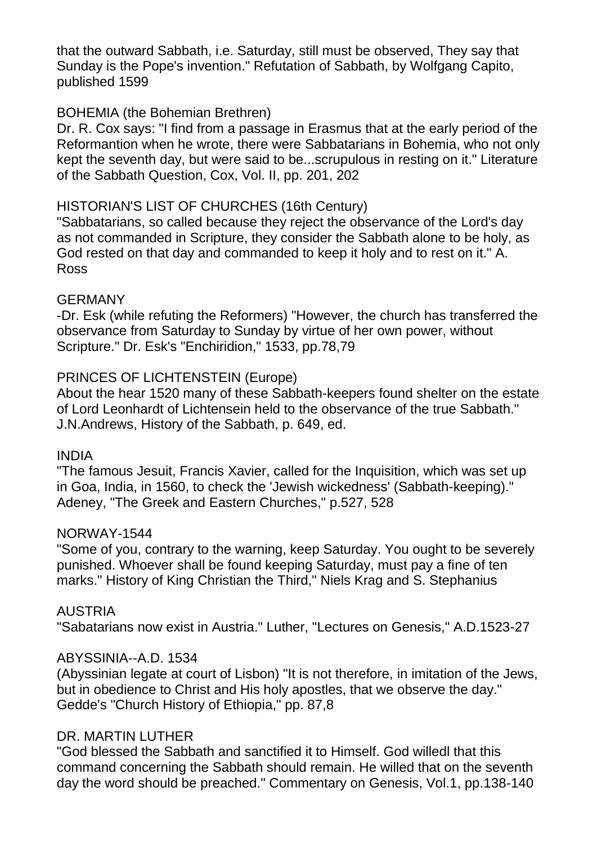that the outward Sabbath, i.e. Saturday, still must be observed, They say that Sunday is the Pope's invention." Refutation of Sabbath, by Wolfgang Capito, published 1599

### BOHEMIA (the Bohemian Brethren)

Dr. R. Cox says: "I find from a passage in Erasmus that at the early period of the Reformantion when he wrote, there were Sabbatarians in Bohemia, who not only kept the seventh day, but were said to be...scrupulous in resting on it." Literature of the Sabbath Question, Cox, Vol. II, pp. 201, 202

#### HISTORIAN'S LIST OF CHURCHES (16th Century)

"Sabbatarians, so called because they reject the observance of the Lord's day as not commanded in Scripture, they consider the Sabbath alone to be holy, as God rested on that day and commanded to keep it holy and to rest on it." A. Ross

#### GERMANY

-Dr. Esk (while refuting the Reformers) "However, the church has transferred the observance from Saturday to Sunday by virtue of her own power, without Scripture." Dr. Esk's "Enchiridion," 1533, pp.78,79

### PRINCES OF LICHTENSTEIN (Europe)

About the hear 1520 many of these Sabbath-keepers found shelter on the estate of Lord Leonhardt of Lichtensein held to the observance of the true Sabbath." J.N.Andrews, History of the Sabbath, p. 649, ed.

#### INDIA

"The famous Jesuit, Francis Xavier, called for the Inquisition, which was set up in Goa, India, in 1560, to check the 'Jewish wickedness' (Sabbath-keeping)." Adeney, "The Greek and Eastern Churches," p.527, 528

#### NORWAY-1544

"Some of you, contrary to the warning, keep Saturday. You ought to be severely punished. Whoever shall be found keeping Saturday, must pay a fine of ten marks." History of King Christian the Third," Niels Krag and S. Stephanius

#### AUSTRIA

"Sabatarians now exist in Austria." Luther, "Lectures on Genesis," A.D.1523-27

#### ABYSSINIA--A.D. 1534

(Abyssinian legate at court of Lisbon) "It is not therefore, in imitation of the Jews, but in obedience to Christ and His holy apostles, that we observe the day." Gedde's "Church History of Ethiopia," pp. 87,8

#### DR. MARTIN LUTHER

"God blessed the Sabbath and sanctified it to Himself. God willedl that this command concerning the Sabbath should remain. He willed that on the seventh day the word should be preached." Commentary on Genesis, Vol.1, pp.138-140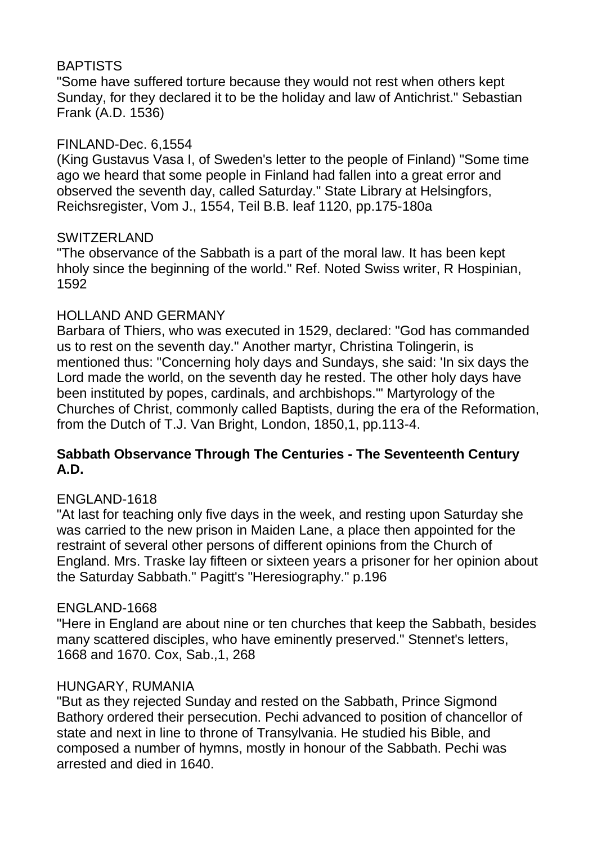## BAPTISTS

"Some have suffered torture because they would not rest when others kept Sunday, for they declared it to be the holiday and law of Antichrist." Sebastian Frank (A.D. 1536)

### FINLAND-Dec. 6,1554

(King Gustavus Vasa I, of Sweden's letter to the people of Finland) "Some time ago we heard that some people in Finland had fallen into a great error and observed the seventh day, called Saturday." State Library at Helsingfors, Reichsregister, Vom J., 1554, Teil B.B. leaf 1120, pp.175-180a

### SWITZERLAND

"The observance of the Sabbath is a part of the moral law. It has been kept hholy since the beginning of the world." Ref. Noted Swiss writer, R Hospinian, 1592

### HOLLAND AND GERMANY

Barbara of Thiers, who was executed in 1529, declared: "God has commanded us to rest on the seventh day." Another martyr, Christina Tolingerin, is mentioned thus: "Concerning holy days and Sundays, she said: 'In six days the Lord made the world, on the seventh day he rested. The other holy days have been instituted by popes, cardinals, and archbishops.'" Martyrology of the Churches of Christ, commonly called Baptists, during the era of the Reformation, from the Dutch of T.J. Van Bright, London, 1850,1, pp.113-4.

### **Sabbath Observance Through The Centuries - The Seventeenth Century A.D.**

### ENGLAND-1618

"At last for teaching only five days in the week, and resting upon Saturday she was carried to the new prison in Maiden Lane, a place then appointed for the restraint of several other persons of different opinions from the Church of England. Mrs. Traske lay fifteen or sixteen years a prisoner for her opinion about the Saturday Sabbath." Pagitt's "Heresiography." p.196

### ENGLAND-1668

"Here in England are about nine or ten churches that keep the Sabbath, besides many scattered disciples, who have eminently preserved." Stennet's letters, 1668 and 1670. Cox, Sab.,1, 268

### HUNGARY, RUMANIA

"But as they rejected Sunday and rested on the Sabbath, Prince Sigmond Bathory ordered their persecution. Pechi advanced to position of chancellor of state and next in line to throne of Transylvania. He studied his Bible, and composed a number of hymns, mostly in honour of the Sabbath. Pechi was arrested and died in 1640.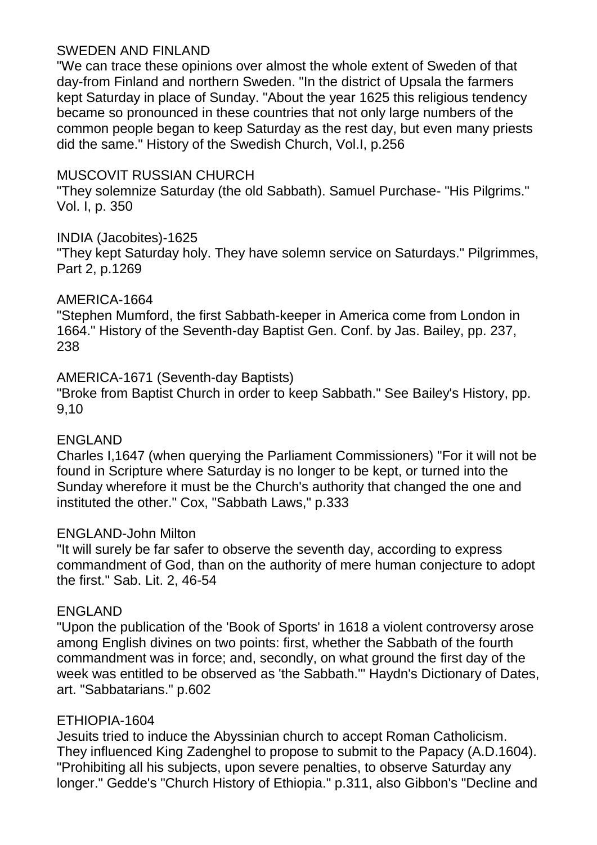### SWEDEN AND FINLAND

"We can trace these opinions over almost the whole extent of Sweden of that day-from Finland and northern Sweden. "In the district of Upsala the farmers kept Saturday in place of Sunday. "About the year 1625 this religious tendency became so pronounced in these countries that not only large numbers of the common people began to keep Saturday as the rest day, but even many priests did the same." History of the Swedish Church, Vol.I, p.256

### MUSCOVIT RUSSIAN CHURCH

"They solemnize Saturday (the old Sabbath). Samuel Purchase- "His Pilgrims." Vol. I, p. 350

### INDIA (Jacobites)-1625

"They kept Saturday holy. They have solemn service on Saturdays." Pilgrimmes, Part 2, p.1269

### AMERICA-1664

"Stephen Mumford, the first Sabbath-keeper in America come from London in 1664." History of the Seventh-day Baptist Gen. Conf. by Jas. Bailey, pp. 237, 238

### AMERICA-1671 (Seventh-day Baptists)

"Broke from Baptist Church in order to keep Sabbath." See Bailey's History, pp. 9,10

### ENGLAND

Charles I,1647 (when querying the Parliament Commissioners) "For it will not be found in Scripture where Saturday is no longer to be kept, or turned into the Sunday wherefore it must be the Church's authority that changed the one and instituted the other." Cox, "Sabbath Laws," p.333

### ENGLAND-John Milton

"It will surely be far safer to observe the seventh day, according to express commandment of God, than on the authority of mere human conjecture to adopt the first." Sab. Lit. 2, 46-54

### ENGLAND

"Upon the publication of the 'Book of Sports' in 1618 a violent controversy arose among English divines on two points: first, whether the Sabbath of the fourth commandment was in force; and, secondly, on what ground the first day of the week was entitled to be observed as 'the Sabbath.'" Haydn's Dictionary of Dates, art. "Sabbatarians." p.602

### ETHIOPIA-1604

Jesuits tried to induce the Abyssinian church to accept Roman Catholicism. They influenced King Zadenghel to propose to submit to the Papacy (A.D.1604). "Prohibiting all his subjects, upon severe penalties, to observe Saturday any longer." Gedde's "Church History of Ethiopia." p.311, also Gibbon's "Decline and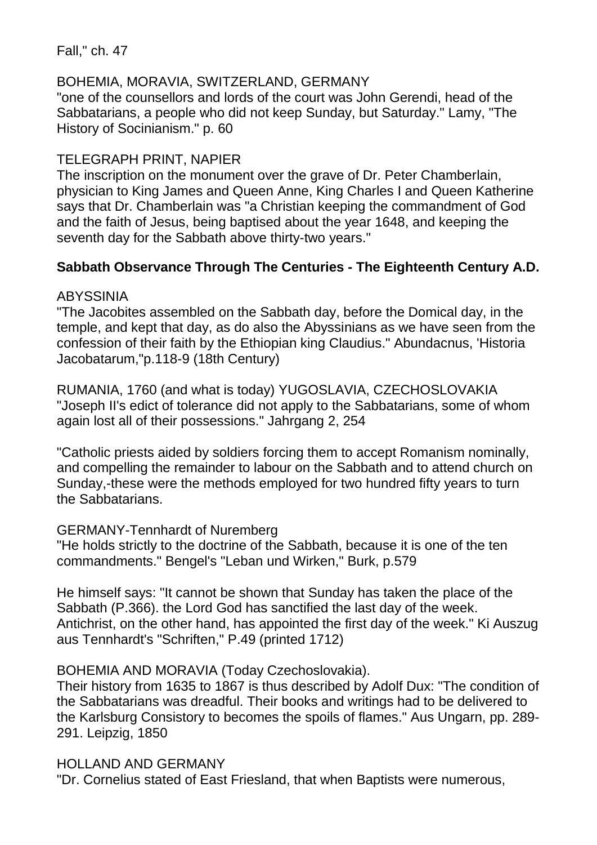Fall," ch. 47

### BOHEMIA, MORAVIA, SWITZERLAND, GERMANY

"one of the counsellors and lords of the court was John Gerendi, head of the Sabbatarians, a people who did not keep Sunday, but Saturday." Lamy, "The History of Socinianism." p. 60

## TELEGRAPH PRINT, NAPIER

The inscription on the monument over the grave of Dr. Peter Chamberlain, physician to King James and Queen Anne, King Charles I and Queen Katherine says that Dr. Chamberlain was "a Christian keeping the commandment of God and the faith of Jesus, being baptised about the year 1648, and keeping the seventh day for the Sabbath above thirty-two years."

## **Sabbath Observance Through The Centuries - The Eighteenth Century A.D.**

### ABYSSINIA

"The Jacobites assembled on the Sabbath day, before the Domical day, in the temple, and kept that day, as do also the Abyssinians as we have seen from the confession of their faith by the Ethiopian king Claudius." Abundacnus, 'Historia Jacobatarum,"p.118-9 (18th Century)

RUMANIA, 1760 (and what is today) YUGOSLAVIA, CZECHOSLOVAKIA "Joseph II's edict of tolerance did not apply to the Sabbatarians, some of whom again lost all of their possessions." Jahrgang 2, 254

"Catholic priests aided by soldiers forcing them to accept Romanism nominally, and compelling the remainder to labour on the Sabbath and to attend church on Sunday,-these were the methods employed for two hundred fifty years to turn the Sabbatarians.

### GERMANY-Tennhardt of Nuremberg

"He holds strictly to the doctrine of the Sabbath, because it is one of the ten commandments." Bengel's "Leban und Wirken," Burk, p.579

He himself says: "It cannot be shown that Sunday has taken the place of the Sabbath (P.366). the Lord God has sanctified the last day of the week. Antichrist, on the other hand, has appointed the first day of the week." Ki Auszug aus Tennhardt's "Schriften," P.49 (printed 1712)

## BOHEMIA AND MORAVIA (Today Czechoslovakia).

Their history from 1635 to 1867 is thus described by Adolf Dux: "The condition of the Sabbatarians was dreadful. Their books and writings had to be delivered to the Karlsburg Consistory to becomes the spoils of flames." Aus Ungarn, pp. 289- 291. Leipzig, 1850

### HOLLAND AND GERMANY

"Dr. Cornelius stated of East Friesland, that when Baptists were numerous,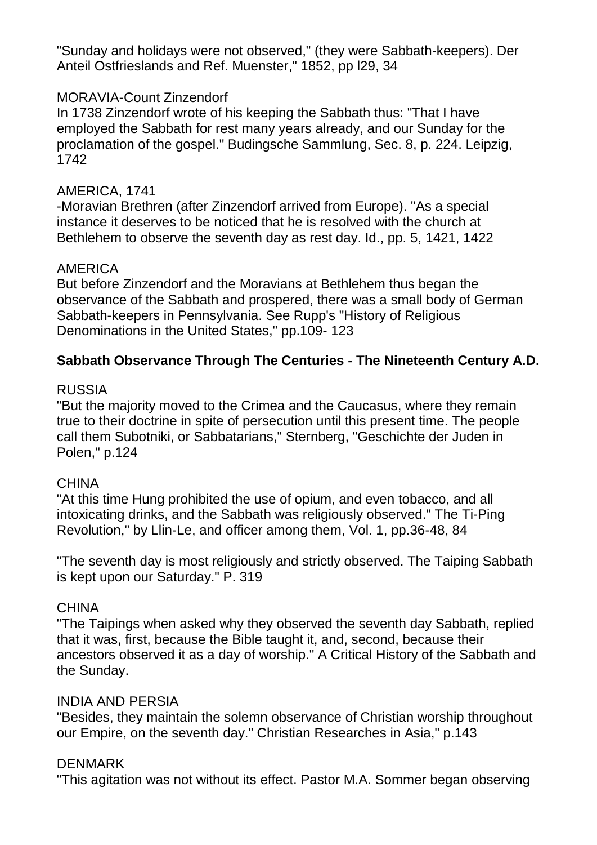"Sunday and holidays were not observed," (they were Sabbath-keepers). Der Anteil Ostfrieslands and Ref. Muenster," 1852, pp l29, 34

### MORAVIA-Count Zinzendorf

In 1738 Zinzendorf wrote of his keeping the Sabbath thus: "That I have employed the Sabbath for rest many years already, and our Sunday for the proclamation of the gospel." Budingsche Sammlung, Sec. 8, p. 224. Leipzig, 1742

### AMERICA, 1741

-Moravian Brethren (after Zinzendorf arrived from Europe). "As a special instance it deserves to be noticed that he is resolved with the church at Bethlehem to observe the seventh day as rest day. Id., pp. 5, 1421, 1422

### AMERICA

But before Zinzendorf and the Moravians at Bethlehem thus began the observance of the Sabbath and prospered, there was a small body of German Sabbath-keepers in Pennsylvania. See Rupp's "History of Religious Denominations in the United States," pp.109- 123

### **Sabbath Observance Through The Centuries - The Nineteenth Century A.D.**

#### RUSSIA

"But the majority moved to the Crimea and the Caucasus, where they remain true to their doctrine in spite of persecution until this present time. The people call them Subotniki, or Sabbatarians," Sternberg, "Geschichte der Juden in Polen," p.124

#### **CHINA**

"At this time Hung prohibited the use of opium, and even tobacco, and all intoxicating drinks, and the Sabbath was religiously observed." The Ti-Ping Revolution," by Llin-Le, and officer among them, Vol. 1, pp.36-48, 84

"The seventh day is most religiously and strictly observed. The Taiping Sabbath is kept upon our Saturday." P. 319

#### **CHINA**

"The Taipings when asked why they observed the seventh day Sabbath, replied that it was, first, because the Bible taught it, and, second, because their ancestors observed it as a day of worship." A Critical History of the Sabbath and the Sunday.

#### INDIA AND PERSIA

"Besides, they maintain the solemn observance of Christian worship throughout our Empire, on the seventh day." Christian Researches in Asia," p.143

#### DENMARK

"This agitation was not without its effect. Pastor M.A. Sommer began observing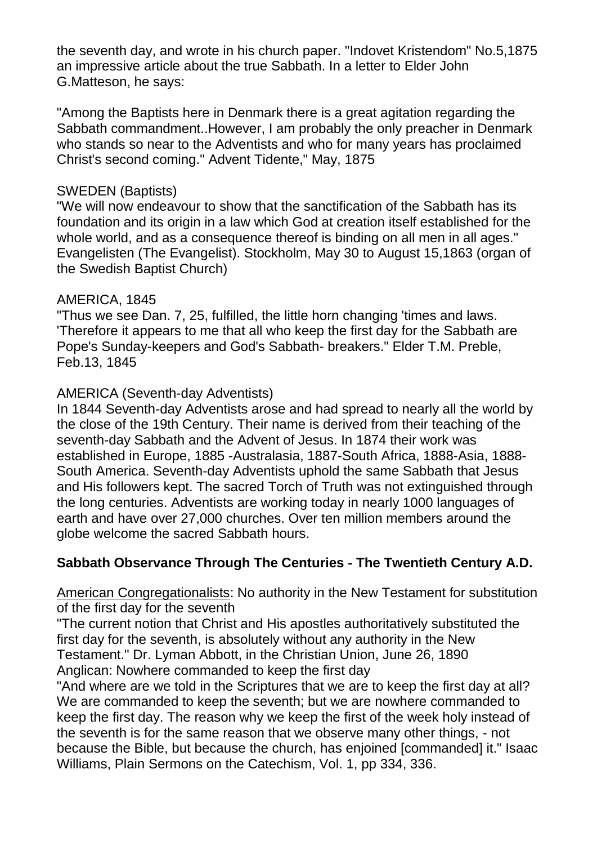the seventh day, and wrote in his church paper. "Indovet Kristendom" No.5,1875 an impressive article about the true Sabbath. In a letter to Elder John G.Matteson, he says:

"Among the Baptists here in Denmark there is a great agitation regarding the Sabbath commandment..However, I am probably the only preacher in Denmark who stands so near to the Adventists and who for many years has proclaimed Christ's second coming." Advent Tidente," May, 1875

#### SWEDEN (Baptists)

"We will now endeavour to show that the sanctification of the Sabbath has its foundation and its origin in a law which God at creation itself established for the whole world, and as a consequence thereof is binding on all men in all ages." Evangelisten (The Evangelist). Stockholm, May 30 to August 15,1863 (organ of the Swedish Baptist Church)

### AMERICA, 1845

"Thus we see Dan. 7, 25, fulfilled, the little horn changing 'times and laws. 'Therefore it appears to me that all who keep the first day for the Sabbath are Pope's Sunday-keepers and God's Sabbath- breakers." Elder T.M. Preble, Feb.13, 1845

### AMERICA (Seventh-day Adventists)

In 1844 Seventh-day Adventists arose and had spread to nearly all the world by the close of the 19th Century. Their name is derived from their teaching of the seventh-day Sabbath and the Advent of Jesus. In 1874 their work was established in Europe, 1885 -Australasia, 1887-South Africa, 1888-Asia, 1888- South America. Seventh-day Adventists uphold the same Sabbath that Jesus and His followers kept. The sacred Torch of Truth was not extinguished through the long centuries. Adventists are working today in nearly 1000 languages of earth and have over 27,000 churches. Over ten million members around the globe welcome the sacred Sabbath hours.

## **Sabbath Observance Through The Centuries - The Twentieth Century A.D.**

American Congregationalists: No authority in the New Testament for substitution of the first day for the seventh

"The current notion that Christ and His apostles authoritatively substituted the first day for the seventh, is absolutely without any authority in the New Testament." Dr. Lyman Abbott, in the Christian Union, June 26, 1890 Anglican: Nowhere commanded to keep the first day

"And where are we told in the Scriptures that we are to keep the first day at all? We are commanded to keep the seventh; but we are nowhere commanded to keep the first day. The reason why we keep the first of the week holy instead of the seventh is for the same reason that we observe many other things, - not because the Bible, but because the church, has enjoined [commanded] it." Isaac Williams, Plain Sermons on the Catechism, Vol. 1, pp 334, 336.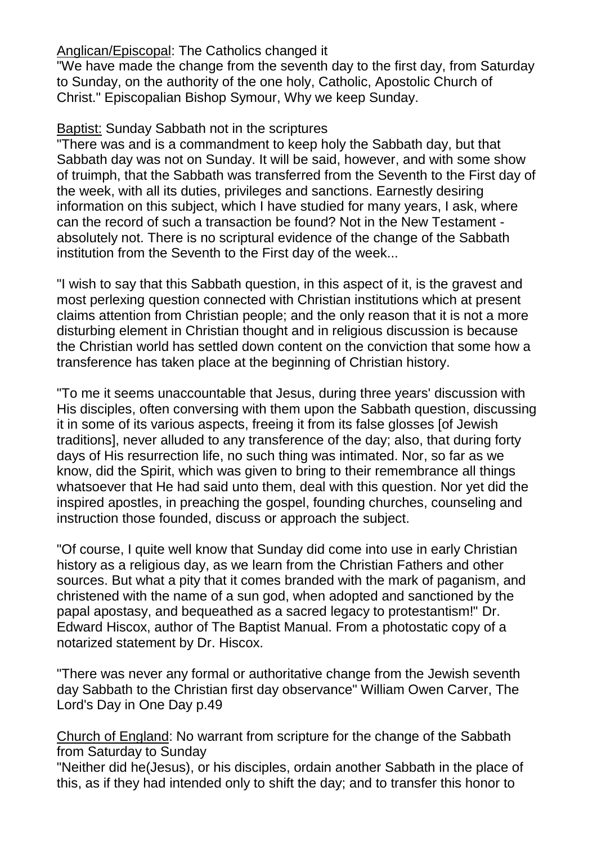### Anglican/Episcopal: The Catholics changed it

"We have made the change from the seventh day to the first day, from Saturday to Sunday, on the authority of the one holy, Catholic, Apostolic Church of Christ." Episcopalian Bishop Symour, Why we keep Sunday.

### Baptist: Sunday Sabbath not in the scriptures

"There was and is a commandment to keep holy the Sabbath day, but that Sabbath day was not on Sunday. It will be said, however, and with some show of truimph, that the Sabbath was transferred from the Seventh to the First day of the week, with all its duties, privileges and sanctions. Earnestly desiring information on this subject, which I have studied for many years, I ask, where can the record of such a transaction be found? Not in the New Testament absolutely not. There is no scriptural evidence of the change of the Sabbath institution from the Seventh to the First day of the week...

"I wish to say that this Sabbath question, in this aspect of it, is the gravest and most perlexing question connected with Christian institutions which at present claims attention from Christian people; and the only reason that it is not a more disturbing element in Christian thought and in religious discussion is because the Christian world has settled down content on the conviction that some how a transference has taken place at the beginning of Christian history.

"To me it seems unaccountable that Jesus, during three years' discussion with His disciples, often conversing with them upon the Sabbath question, discussing it in some of its various aspects, freeing it from its false glosses [of Jewish traditions], never alluded to any transference of the day; also, that during forty days of His resurrection life, no such thing was intimated. Nor, so far as we know, did the Spirit, which was given to bring to their remembrance all things whatsoever that He had said unto them, deal with this question. Nor yet did the inspired apostles, in preaching the gospel, founding churches, counseling and instruction those founded, discuss or approach the subject.

"Of course, I quite well know that Sunday did come into use in early Christian history as a religious day, as we learn from the Christian Fathers and other sources. But what a pity that it comes branded with the mark of paganism, and christened with the name of a sun god, when adopted and sanctioned by the papal apostasy, and bequeathed as a sacred legacy to protestantism!" Dr. Edward Hiscox, author of The Baptist Manual. From a photostatic copy of a notarized statement by Dr. Hiscox.

"There was never any formal or authoritative change from the Jewish seventh day Sabbath to the Christian first day observance" William Owen Carver, The Lord's Day in One Day p.49

Church of England: No warrant from scripture for the change of the Sabbath from Saturday to Sunday

"Neither did he(Jesus), or his disciples, ordain another Sabbath in the place of this, as if they had intended only to shift the day; and to transfer this honor to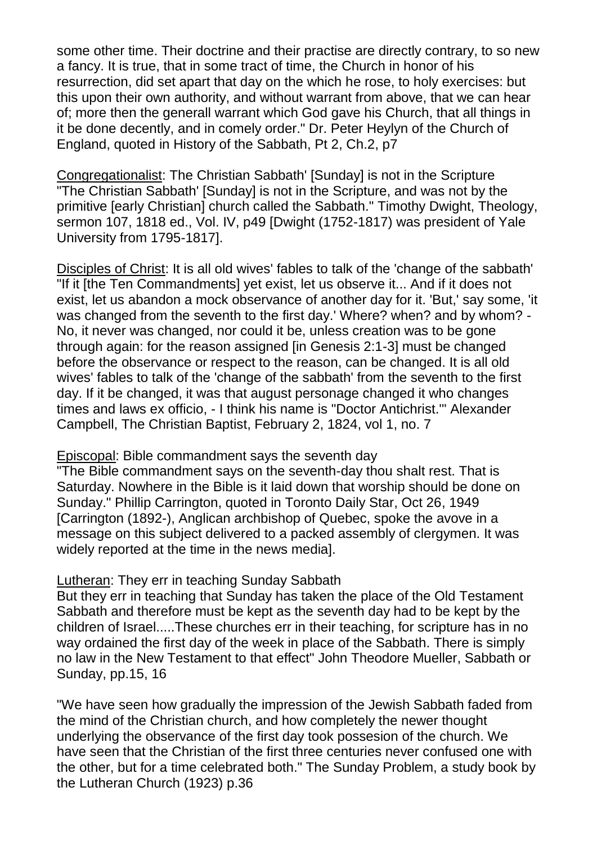some other time. Their doctrine and their practise are directly contrary, to so new a fancy. It is true, that in some tract of time, the Church in honor of his resurrection, did set apart that day on the which he rose, to holy exercises: but this upon their own authority, and without warrant from above, that we can hear of; more then the generall warrant which God gave his Church, that all things in it be done decently, and in comely order." Dr. Peter Heylyn of the Church of England, quoted in History of the Sabbath, Pt 2, Ch.2, p7

Congregationalist: The Christian Sabbath' [Sunday] is not in the Scripture "The Christian Sabbath' [Sunday] is not in the Scripture, and was not by the primitive [early Christian] church called the Sabbath." Timothy Dwight, Theology, sermon 107, 1818 ed., Vol. IV, p49 [Dwight (1752-1817) was president of Yale University from 1795-1817].

Disciples of Christ: It is all old wives' fables to talk of the 'change of the sabbath' "If it [the Ten Commandments] yet exist, let us observe it... And if it does not exist, let us abandon a mock observance of another day for it. 'But,' say some, 'it was changed from the seventh to the first day.' Where? when? and by whom? - No, it never was changed, nor could it be, unless creation was to be gone through again: for the reason assigned [in Genesis 2:1-3] must be changed before the observance or respect to the reason, can be changed. It is all old wives' fables to talk of the 'change of the sabbath' from the seventh to the first day. If it be changed, it was that august personage changed it who changes times and laws ex officio, - I think his name is "Doctor Antichrist.'" Alexander Campbell, The Christian Baptist, February 2, 1824, vol 1, no. 7

#### Episcopal: Bible commandment says the seventh day

"The Bible commandment says on the seventh-day thou shalt rest. That is Saturday. Nowhere in the Bible is it laid down that worship should be done on Sunday." Phillip Carrington, quoted in Toronto Daily Star, Oct 26, 1949 [Carrington (1892-), Anglican archbishop of Quebec, spoke the avove in a message on this subject delivered to a packed assembly of clergymen. It was widely reported at the time in the news media].

### Lutheran: They err in teaching Sunday Sabbath

But they err in teaching that Sunday has taken the place of the Old Testament Sabbath and therefore must be kept as the seventh day had to be kept by the children of Israel.....These churches err in their teaching, for scripture has in no way ordained the first day of the week in place of the Sabbath. There is simply no law in the New Testament to that effect" John Theodore Mueller, Sabbath or Sunday, pp.15, 16

"We have seen how gradually the impression of the Jewish Sabbath faded from the mind of the Christian church, and how completely the newer thought underlying the observance of the first day took possesion of the church. We have seen that the Christian of the first three centuries never confused one with the other, but for a time celebrated both." The Sunday Problem, a study book by the Lutheran Church (1923) p.36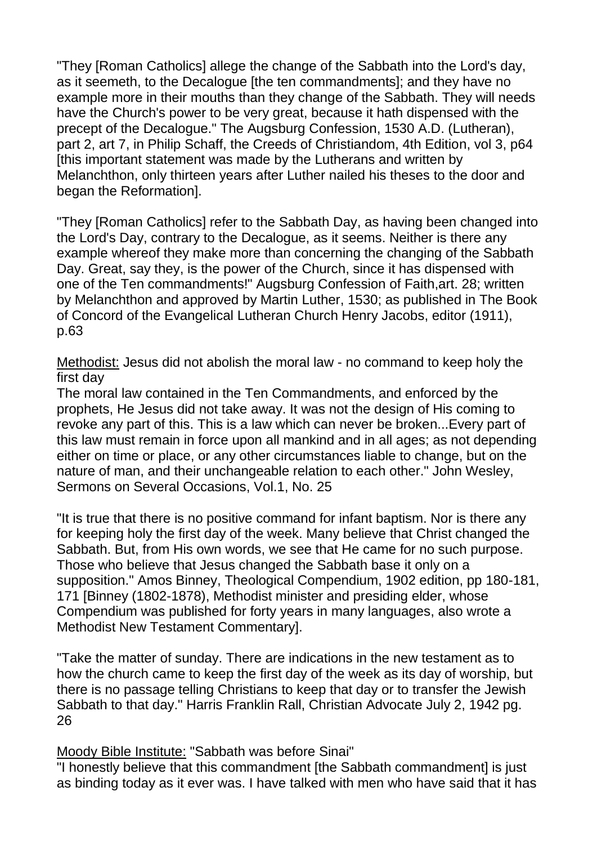"They [Roman Catholics] allege the change of the Sabbath into the Lord's day, as it seemeth, to the Decalogue [the ten commandments]; and they have no example more in their mouths than they change of the Sabbath. They will needs have the Church's power to be very great, because it hath dispensed with the precept of the Decalogue." The Augsburg Confession, 1530 A.D. (Lutheran), part 2, art 7, in Philip Schaff, the Creeds of Christiandom, 4th Edition, vol 3, p64 [this important statement was made by the Lutherans and written by Melanchthon, only thirteen years after Luther nailed his theses to the door and began the Reformation].

"They [Roman Catholics] refer to the Sabbath Day, as having been changed into the Lord's Day, contrary to the Decalogue, as it seems. Neither is there any example whereof they make more than concerning the changing of the Sabbath Day. Great, say they, is the power of the Church, since it has dispensed with one of the Ten commandments!" Augsburg Confession of Faith,art. 28; written by Melanchthon and approved by Martin Luther, 1530; as published in The Book of Concord of the Evangelical Lutheran Church Henry Jacobs, editor (1911), p.63

Methodist: Jesus did not abolish the moral law - no command to keep holy the first day

The moral law contained in the Ten Commandments, and enforced by the prophets, He Jesus did not take away. It was not the design of His coming to revoke any part of this. This is a law which can never be broken...Every part of this law must remain in force upon all mankind and in all ages; as not depending either on time or place, or any other circumstances liable to change, but on the nature of man, and their unchangeable relation to each other." John Wesley, Sermons on Several Occasions, Vol.1, No. 25

"It is true that there is no positive command for infant baptism. Nor is there any for keeping holy the first day of the week. Many believe that Christ changed the Sabbath. But, from His own words, we see that He came for no such purpose. Those who believe that Jesus changed the Sabbath base it only on a supposition." Amos Binney, Theological Compendium, 1902 edition, pp 180-181, 171 [Binney (1802-1878), Methodist minister and presiding elder, whose Compendium was published for forty years in many languages, also wrote a Methodist New Testament Commentary].

"Take the matter of sunday. There are indications in the new testament as to how the church came to keep the first day of the week as its day of worship, but there is no passage telling Christians to keep that day or to transfer the Jewish Sabbath to that day." Harris Franklin Rall, Christian Advocate July 2, 1942 pg. 26

Moody Bible Institute: "Sabbath was before Sinai"

"I honestly believe that this commandment [the Sabbath commandment] is just as binding today as it ever was. I have talked with men who have said that it has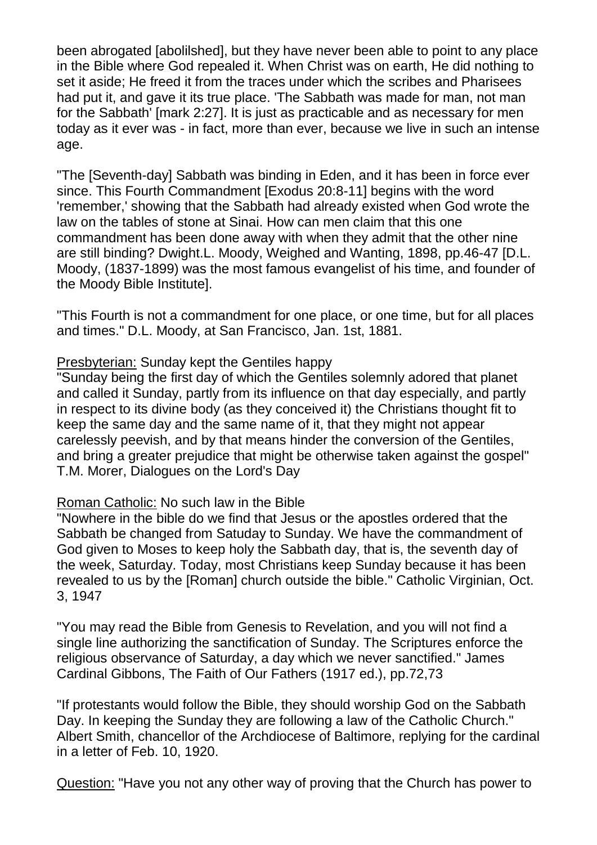been abrogated [abolilshed], but they have never been able to point to any place in the Bible where God repealed it. When Christ was on earth, He did nothing to set it aside; He freed it from the traces under which the scribes and Pharisees had put it, and gave it its true place. 'The Sabbath was made for man, not man for the Sabbath' [mark 2:27]. It is just as practicable and as necessary for men today as it ever was - in fact, more than ever, because we live in such an intense age.

"The [Seventh-day] Sabbath was binding in Eden, and it has been in force ever since. This Fourth Commandment [Exodus 20:8-11] begins with the word 'remember,' showing that the Sabbath had already existed when God wrote the law on the tables of stone at Sinai. How can men claim that this one commandment has been done away with when they admit that the other nine are still binding? Dwight.L. Moody, Weighed and Wanting, 1898, pp.46-47 [D.L. Moody, (1837-1899) was the most famous evangelist of his time, and founder of the Moody Bible Institute].

"This Fourth is not a commandment for one place, or one time, but for all places and times." D.L. Moody, at San Francisco, Jan. 1st, 1881.

#### Presbyterian: Sunday kept the Gentiles happy

"Sunday being the first day of which the Gentiles solemnly adored that planet and called it Sunday, partly from its influence on that day especially, and partly in respect to its divine body (as they conceived it) the Christians thought fit to keep the same day and the same name of it, that they might not appear carelessly peevish, and by that means hinder the conversion of the Gentiles, and bring a greater prejudice that might be otherwise taken against the gospel" T.M. Morer, Dialogues on the Lord's Day

### Roman Catholic: No such law in the Bible

"Nowhere in the bible do we find that Jesus or the apostles ordered that the Sabbath be changed from Satuday to Sunday. We have the commandment of God given to Moses to keep holy the Sabbath day, that is, the seventh day of the week, Saturday. Today, most Christians keep Sunday because it has been revealed to us by the [Roman] church outside the bible." Catholic Virginian, Oct. 3, 1947

"You may read the Bible from Genesis to Revelation, and you will not find a single line authorizing the sanctification of Sunday. The Scriptures enforce the religious observance of Saturday, a day which we never sanctified." James Cardinal Gibbons, The Faith of Our Fathers (1917 ed.), pp.72,73

"If protestants would follow the Bible, they should worship God on the Sabbath Day. In keeping the Sunday they are following a law of the Catholic Church." Albert Smith, chancellor of the Archdiocese of Baltimore, replying for the cardinal in a letter of Feb. 10, 1920.

Question: "Have you not any other way of proving that the Church has power to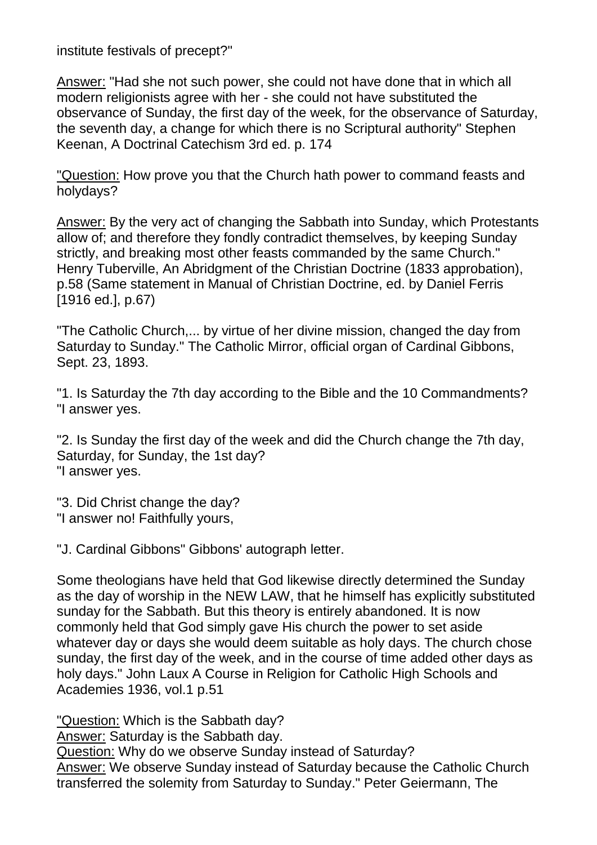institute festivals of precept?"

Answer: "Had she not such power, she could not have done that in which all modern religionists agree with her - she could not have substituted the observance of Sunday, the first day of the week, for the observance of Saturday, the seventh day, a change for which there is no Scriptural authority" Stephen Keenan, A Doctrinal Catechism 3rd ed. p. 174

"Question: How prove you that the Church hath power to command feasts and holydays?

Answer: By the very act of changing the Sabbath into Sunday, which Protestants allow of; and therefore they fondly contradict themselves, by keeping Sunday strictly, and breaking most other feasts commanded by the same Church." Henry Tuberville, An Abridgment of the Christian Doctrine (1833 approbation), p.58 (Same statement in Manual of Christian Doctrine, ed. by Daniel Ferris [1916 ed.], p.67)

"The Catholic Church,... by virtue of her divine mission, changed the day from Saturday to Sunday." The Catholic Mirror, official organ of Cardinal Gibbons, Sept. 23, 1893.

"1. Is Saturday the 7th day according to the Bible and the 10 Commandments? "I answer yes.

"2. Is Sunday the first day of the week and did the Church change the 7th day, Saturday, for Sunday, the 1st day? "I answer yes.

"3. Did Christ change the day? "I answer no! Faithfully yours,

"J. Cardinal Gibbons" Gibbons' autograph letter.

Some theologians have held that God likewise directly determined the Sunday as the day of worship in the NEW LAW, that he himself has explicitly substituted sunday for the Sabbath. But this theory is entirely abandoned. It is now commonly held that God simply gave His church the power to set aside whatever day or days she would deem suitable as holy days. The church chose sunday, the first day of the week, and in the course of time added other days as holy days." John Laux A Course in Religion for Catholic High Schools and Academies 1936, vol.1 p.51

"Question: Which is the Sabbath day?

Answer: Saturday is the Sabbath day.

Question: Why do we observe Sunday instead of Saturday?

Answer: We observe Sunday instead of Saturday because the Catholic Church transferred the solemity from Saturday to Sunday." Peter Geiermann, The